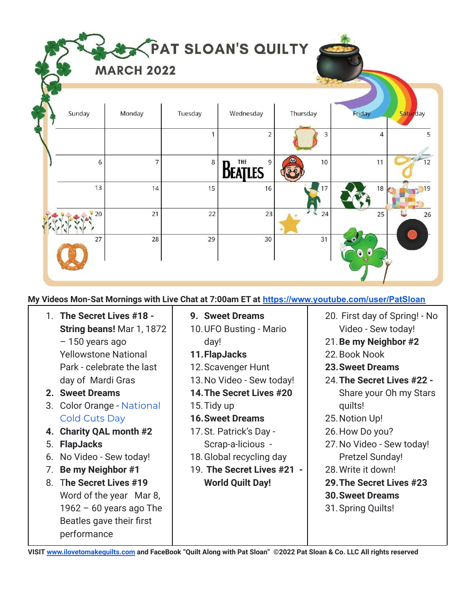| PAT SLOAN'S QUILTY<br><b>MARCH 2022</b> |        |                |         |                     |          |                    |  |
|-----------------------------------------|--------|----------------|---------|---------------------|----------|--------------------|--|
|                                         | Sunday | Monday         | Tuesday | Wednesday           | Thursday | Friday<br>Saturday |  |
|                                         |        |                |         | $\overline{2}$      | 3        | 4<br>5             |  |
|                                         | 6      | $\overline{7}$ | 8       | 9<br><b>BEATLES</b> | 10       | 11<br>12           |  |
|                                         | 13     | 14             | 15      | 16                  | 17       | 18                 |  |
|                                         | 20     | 21             | 22      | 23                  | 24       | 25<br>26           |  |
|                                         | 27     | 28             | 29      | 30                  | 31       | $\bf{Q}$           |  |

**My Videos Mon-Sat Mornings with Live Chat at 7:00am ET at [https://www.youtube.com/user/PatSloan](https://www.youtube.com/user/PatSloan?sub_confirmation=1)**

- 1. **The Secret Lives #18 - String beans!** Mar 1, 1872 – 150 years ago Yellowstone National Park - celebrate the last day of Mardi Gras
- **2. Sweet Dreams**
- 3. Color Orange [National](https://nationaltoday.com/national-cold-cuts-day/) [Cold](https://nationaltoday.com/national-cold-cuts-day/) Cuts Day
- **4. Charity QAL month #2**
- 5. **FlapJacks**
- 6. No Video Sew today!
- 7. **Be my Neighbor #1**
- 8. T**he Secret Lives #19** Word of the year Mar 8,  $1962 - 60$  years ago The Beatles gave their first performance
- **9. Sweet Dreams**
- 10.UFO Busting Mario day!
- **11.FlapJacks**
- 12.Scavenger Hunt
- 13.No Video Sew today!
- **14.The Secret Lives #20**
- 15.Tidy up
- **16.Sweet Dreams**
- 17.St. Patrick's Day Scrap-a-licious -
- 18.Global recycling day
- 19. **The Secret Lives #21 - World Quilt Day!**
- 20. First day of Spring! No Video - Sew today!
- 21.**Be my Neighbor #2**
- 22.Book Nook
- **23.Sweet Dreams**
- 24.**The Secret Lives #22 -** Share your Oh my Stars quilts!
- 25.Notion Up!
- 26.How Do you?
- 27.No Video Sew today! Pretzel Sunday!
- 28.Write it down!
- **29.The Secret Lives #23**
- **30.Sweet Dreams**
- 31.Spring Quilts!

**VISIT [www.ilovetomakequilts.com](http://www.ilovetomakequilts.com) and FaceBook "Quilt Along with Pat Sloan" ©2022 Pat Sloan & Co. LLC All rights reserved**